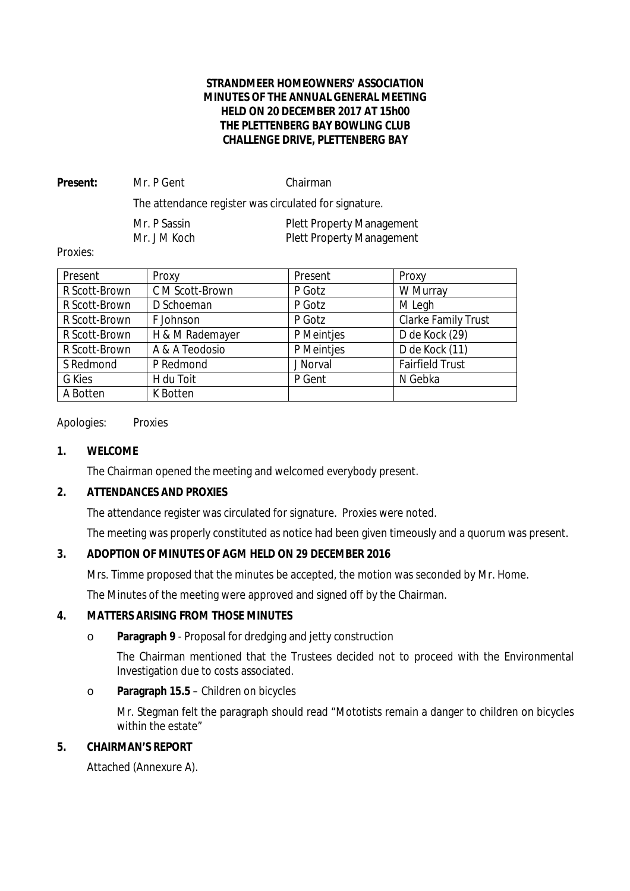# **STRANDMEER HOMEOWNERS' ASSOCIATION MINUTES OF THE ANNUAL GENERAL MEETING HELD ON 20 DECEMBER 2017 AT 15h00 THE PLETTENBERG BAY BOWLING CLUB CHALLENGE DRIVE, PLETTENBERG BAY**

Present: Mr. P Gent Chairman The attendance register was circulated for signature. Mr. P Sassin **Plett Property Management** Mr. J M Koch Plett Property Management

Proxies:

| Present       | Proxy           | Present    | Proxy                      |
|---------------|-----------------|------------|----------------------------|
| R Scott-Brown | C M Scott-Brown | P Gotz     | W Murray                   |
| R Scott-Brown | D Schoeman      | P Gotz     | M Legh                     |
| R Scott-Brown | F Johnson       | P Gotz     | <b>Clarke Family Trust</b> |
| R Scott-Brown | H & M Rademayer | P Meintjes | D de Kock (29)             |
| R Scott-Brown | A & A Teodosio  | P Meintjes | D de Kock (11)             |
| S Redmond     | P Redmond       | J Norval   | <b>Fairfield Trust</b>     |
| <b>G</b> Kies | H du Toit       | P Gent     | N Gebka                    |
| A Botten      | <b>K</b> Botten |            |                            |

## Apologies: Proxies

**1. WELCOME**

The Chairman opened the meeting and welcomed everybody present.

**2. ATTENDANCES AND PROXIES** 

The attendance register was circulated for signature. Proxies were noted.

The meeting was properly constituted as notice had been given timeously and a quorum was present.

**3. ADOPTION OF MINUTES OF AGM HELD ON 29 DECEMBER 2016**

Mrs. Timme proposed that the minutes be accepted, the motion was seconded by Mr. Home.

The Minutes of the meeting were approved and signed off by the Chairman.

# **4. MATTERS ARISING FROM THOSE MINUTES**

o **Paragraph 9** - Proposal for dredging and jetty construction

The Chairman mentioned that the Trustees decided not to proceed with the Environmental Investigation due to costs associated.

o **Paragraph 15.5** – Children on bicycles

Mr. Stegman felt the paragraph should read "Mototists remain a danger to children on bicycles within the estate"

# **5. CHAIRMAN'S REPORT**

Attached (Annexure A).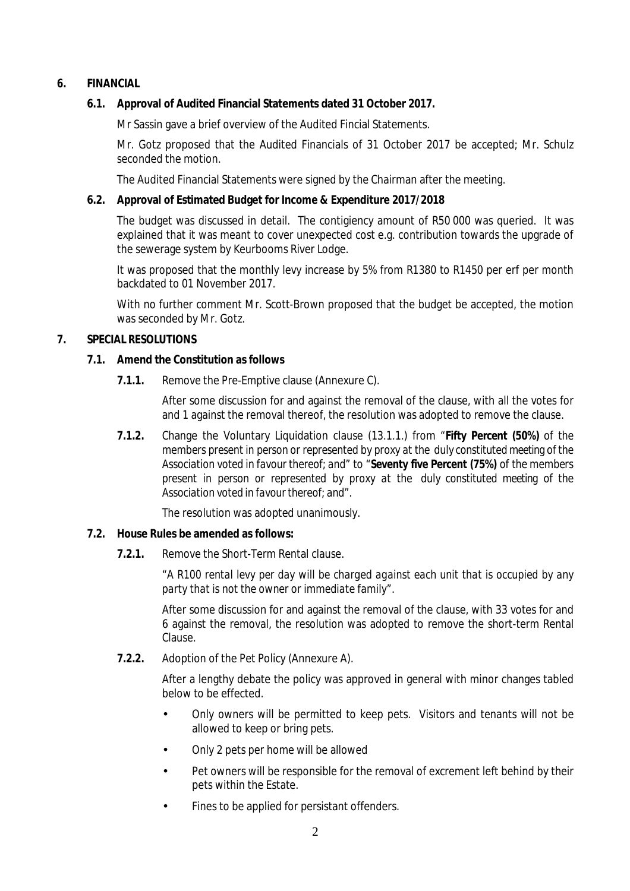- **6. FINANCIAL** 
	- **6.1. Approval of Audited Financial Statements dated 31 October 2017.**

Mr Sassin gave a brief overview of the Audited Fincial Statements.

Mr. Gotz proposed that the Audited Financials of 31 October 2017 be accepted; Mr. Schulz seconded the motion.

The Audited Financial Statements were signed by the Chairman after the meeting.

**6.2. Approval of Estimated Budget for Income & Expenditure 2017/2018**

The budget was discussed in detail. The contigiency amount of R50 000 was queried. It was explained that it was meant to cover unexpected cost e.g. contribution towards the upgrade of the sewerage system by Keurbooms River Lodge.

It was proposed that the monthly levy increase by 5% from R1380 to R1450 per erf per month backdated to 01 November 2017.

With no further comment Mr. Scott-Brown proposed that the budget be accepted, the motion was seconded by Mr. Gotz.

# **7. SPECIAL RESOLUTIONS**

- **7.1. Amend the Constitution as follows** 
	- **7.1.1.** Remove the Pre-Emptive clause (Annexure C).

After some discussion for and against the removal of the clause, with all the votes for and 1 against the removal thereof, the resolution was adopted to remove the clause.

*7.1.2.* Change the Voluntary Liquidation clause (13.1.1.) from *"Fifty Percent (50%) of the members present in person or represented by proxy at the duly constituted meeting of the Association voted in favour thereof; and"* to *"Seventy five Percent (75%) of the members present in person or represented by proxy at the duly constituted meeting of the Association voted in favourthereof; and".* 

The resolution was adopted unanimously.

- **7.2. House Rules be amended as follows:** 
	- **7.2.1.** Remove the Short-Term Rental clause.

"*A R100 rental levy per day will be charged against each unit that is occupied by any party that is not the owner or immediate family".*

After some discussion for and against the removal of the clause, with 33 votes for and 6 against the removal, the resolution was adopted to remove the short-term Rental Clause.

**7.2.2.** Adoption of the Pet Policy (Annexure A).

After a lengthy debate the policy was approved in general with minor changes tabled below to be effected.

- Only owners will be permitted to keep pets. Visitors and tenants will not be allowed to keep or bring pets.
- Only 2 pets per home will be allowed
- Pet owners will be responsible for the removal of excrement left behind by their pets within the Estate.
- Fines to be applied for persistant offenders.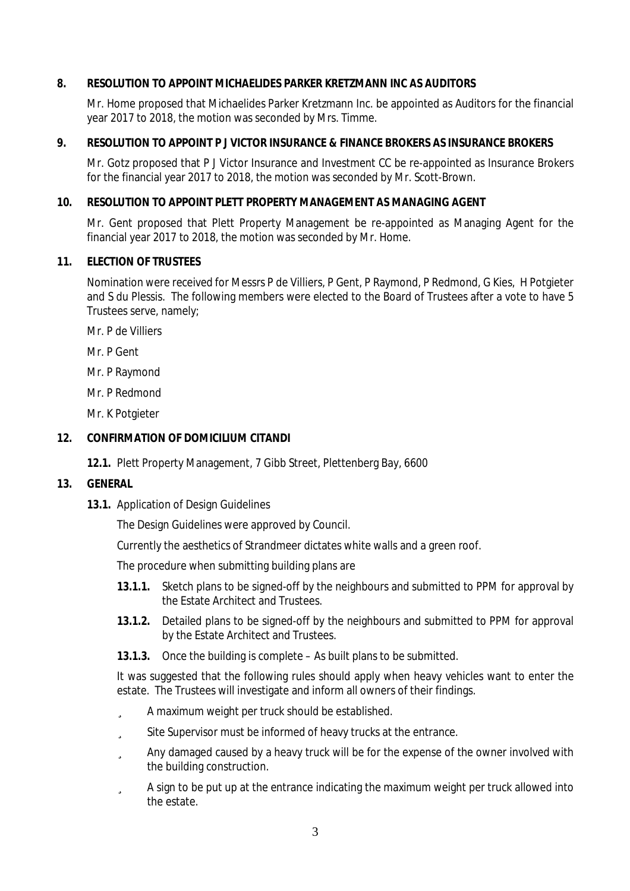## **8. RESOLUTION TO APPOINT MICHAELIDES PARKER KRETZMANN INC AS AUDITORS**

Mr. Home proposed that Michaelides Parker Kretzmann Inc. be appointed as Auditors for the financial year 2017 to 2018, the motion was seconded by Mrs. Timme.

## **9. RESOLUTION TO APPOINT P J VICTOR INSURANCE & FINANCE BROKERS AS INSURANCE BROKERS**

Mr. Gotz proposed that P J Victor Insurance and Investment CC be re-appointed as Insurance Brokers for the financial year 2017 to 2018, the motion was seconded by Mr. Scott-Brown.

## **10. RESOLUTION TO APPOINT PLETT PROPERTY MANAGEMENT AS MANAGING AGENT**

Mr. Gent proposed that Plett Property Management be re-appointed as Managing Agent for the financial year 2017 to 2018, the motion was seconded by Mr. Home.

#### **11. ELECTION OF TRUSTEES**

Nomination were received for Messrs P de Villiers, P Gent, P Raymond, P Redmond, G Kies, H Potgieter and S du Plessis. The following members were elected to the Board of Trustees after a vote to have 5 Trustees serve, namely;

Mr. P de Villiers

Mr. P Gent

Mr. P Raymond

Mr. P Redmond

Mr. K Potgieter

# **12. CONFIRMATION OF DOMICILIUM CITANDI**

**12.1.** Plett Property Management, 7 Gibb Street, Plettenberg Bay, 6600

#### **13. GENERAL**

**13.1.** Application of Design Guidelines

The Design Guidelines were approved by Council.

Currently the aesthetics of Strandmeer dictates white walls and a green roof.

The procedure when submitting building plans are

- **13.1.1.** Sketch plans to be signed-off by the neighbours and submitted to PPM for approval by the Estate Architect and Trustees.
- **13.1.2.** Detailed plans to be signed-off by the neighbours and submitted to PPM for approval by the Estate Architect and Trustees.
- **13.1.3.** Once the building is complete As built plans to be submitted.

It was suggested that the following rules should apply when heavy vehicles want to enter the estate. The Trustees will investigate and inform all owners of their findings.

- ü A maximum weight per truck should be established.
- ü Site Supervisor must be informed of heavy trucks at the entrance.
- ü Any damaged caused by a heavy truck will be for the expense of the owner involved with the building construction.
- ü A sign to be put up at the entrance indicating the maximum weight per truck allowed into the estate.